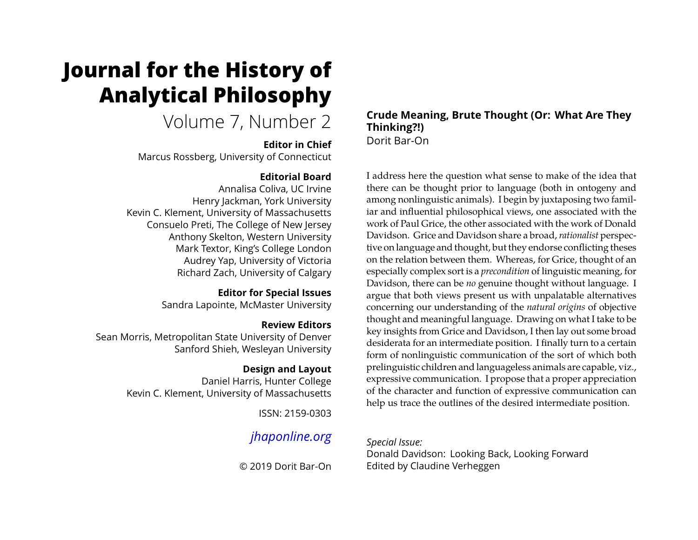# **Journal for the History of Analytical Philosophy**

Volume 7, Number 2

# **Editor in Chief**

Marcus Rossberg, University of Connecticut

# **Editorial Board**

Annalisa Coliva, UC Irvine Henry Jackman, York University Kevin C. Klement, University of Massachusetts Consuelo Preti, The College of New Jersey Anthony Skelton, Western University Mark Textor, King's College London Audrey Yap, University of Victoria Richard Zach, University of Calgary

# **Editor for Special Issues**

Sandra Lapointe, McMaster University

# **Review Editors**

Sean Morris, Metropolitan State University of Denver Sanford Shieh, Wesleyan University

# **Design and Layout**

Daniel Harris, Hunter College Kevin C. Klement, University of Massachusetts

ISSN: 2159-0303

# *[jhaponline.org](https://jhaponline.org)*

© 2019 Dorit Bar-On

# **Crude Meaning, Brute Thought (Or: What Are They Thinking?!)** Dorit Bar-On

I address here the question what sense to make of the idea that there can be thought prior to language (both in ontogeny and among nonlinguistic animals). I begin by juxtaposing two familiar and influential philosophical views, one associated with the work of Paul Grice, the other associated with the work of Donald Davidson. Grice and Davidson share a broad,*rationalist* perspective on language and thought, but they endorse conflicting theses on the relation between them. Whereas, for Grice, thought of an especially complex sort is a *precondition* of linguistic meaning, for Davidson, there can be *no* genuine thought without language. I argue that both views present us with unpalatable alternatives concerning our understanding of the *natural origins* of objective thought and meaningful language. Drawing on what I take to be key insights from Grice and Davidson, I then lay out some broad desiderata for an intermediate position. I finally turn to a certain form of nonlinguistic communication of the sort of which both prelinguistic children and languageless animals are capable, viz., expressive communication. I propose that a proper appreciation of the character and function of expressive communication can help us trace the outlines of the desired intermediate position.

# *Special Issue:*

Donald Davidson: Looking Back, Looking Forward Edited by Claudine Verheggen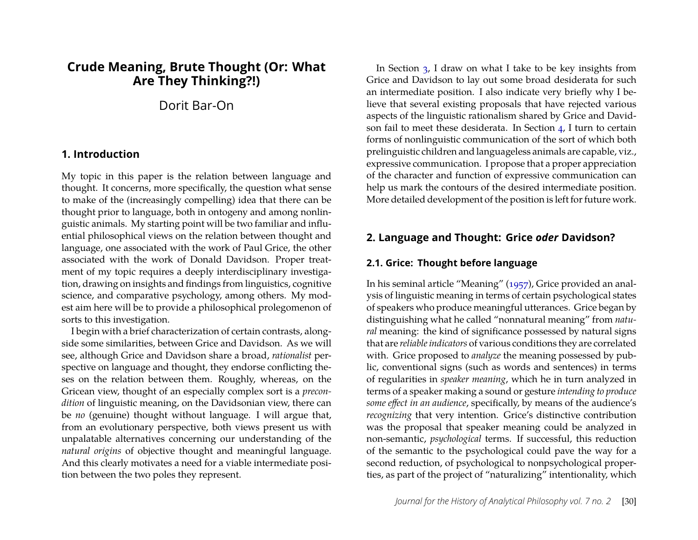# **Crude Meaning, Brute Thought (Or: What Are They Thinking?!)**

Dorit Bar-On

#### **1. Introduction**

My topic in this paper is the relation between language and thought. It concerns, more specifically, the question what sense to make of the (increasingly compelling) idea that there can be thought prior to language, both in ontogeny and among nonlinguistic animals. My starting point will be two familiar and influential philosophical views on the relation between thought and language, one associated with the work of Paul Grice, the other associated with the work of Donald Davidson. Proper treatment of my topic requires a deeply interdisciplinary investigation, drawing on insights and findings from linguistics, cognitive science, and comparative psychology, among others. My modest aim here will be to provide a philosophical prolegomenon of sorts to this investigation.

I begin with a brief characterization of certain contrasts, alongside some similarities, between Grice and Davidson. As we will see, although Grice and Davidson share a broad, *rationalist* perspective on language and thought, they endorse conflicting theses on the relation between them. Roughly, whereas, on the Gricean view, thought of an especially complex sort is a *precondition* of linguistic meaning, on the Davidsonian view, there can be *no* (genuine) thought without language. I will argue that, from an evolutionary perspective, both views present us with unpalatable alternatives concerning our understanding of the *natural origins* of objective thought and meaningful language. And this clearly motivates a need for a viable intermediate position between the two poles they represent.

In Section [3,](#page-5-0) I draw on what I take to be key insights from Grice and Davidson to lay out some broad desiderata for such an intermediate position. I also indicate very briefly why I believe that several existing proposals that have rejected various aspects of the linguistic rationalism shared by Grice and Davidson fail to meet these desiderata. In Section [4,](#page-10-0) I turn to certain forms of nonlinguistic communication of the sort of which both prelinguistic children and languageless animals are capable, viz., expressive communication. I propose that a proper appreciation of the character and function of expressive communication can help us mark the contours of the desired intermediate position. More detailed development of the position is left for future work.

#### **2. Language and Thought: Grice** *oder* **Davidson?**

#### **2.1. Grice: Thought before language**

In his seminal article "Meaning" [\(1957\)](#page-16-0), Grice provided an analysis of linguistic meaning in terms of certain psychological states of speakers who produce meaningful utterances. Grice began by distinguishing what he called "nonnatural meaning" from *natural* meaning: the kind of significance possessed by natural signs that are *reliable indicators* of various conditions they are correlated with. Grice proposed to *analyze* the meaning possessed by public, conventional signs (such as words and sentences) in terms of regularities in *speaker meaning*, which he in turn analyzed in terms of a speaker making a sound or gesture *intending to produce some effect in an audience*, specifically, by means of the audience's *recognizing* that very intention. Grice's distinctive contribution was the proposal that speaker meaning could be analyzed in non-semantic, *psychological* terms. If successful, this reduction of the semantic to the psychological could pave the way for a second reduction, of psychological to nonpsychological properties, as part of the project of "naturalizing" intentionality, which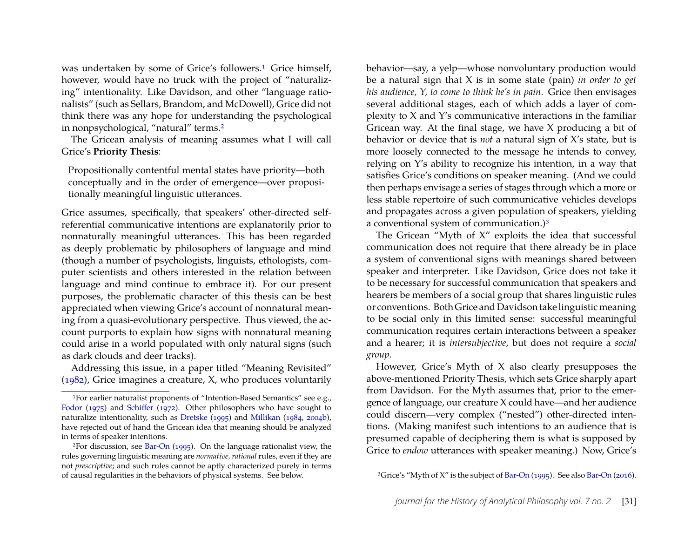was undertaken by some of Grice's followers.<sup>[1](#page-2-0)</sup> Grice himself, however, would have no truck with the project of "naturalizing" intentionality. Like Davidson, and other "language rationalists" (such as Sellars, Brandom, and McDowell), Grice did not think there was any hope for understanding the psychological in nonpsychological, "natural" terms.[2](#page-2-1)

The Gricean analysis of meaning assumes what I will call Grice's **Priority Thesis**:

Propositionally contentful mental states have priority—both conceptually and in the order of emergence—over propositionally meaningful linguistic utterances.

Grice assumes, specifically, that speakers' other-directed selfreferential communicative intentions are explanatorily prior to nonnaturally meaningful utterances. This has been regarded as deeply problematic by philosophers of language and mind (though a number of psychologists, linguists, ethologists, computer scientists and others interested in the relation between language and mind continue to embrace it). For our present purposes, the problematic character of this thesis can be best appreciated when viewing Grice's account of nonnatural meaning from a quasi-evolutionary perspective. Thus viewed, the account purports to explain how signs with nonnatural meaning could arise in a world populated with only natural signs (such as dark clouds and deer tracks).

Addressing this issue, in a paper titled "Meaning Revisited" [\(1982\)](#page-16-1), Grice imagines a creature, X, who produces voluntarily

behavior—say, a yelp—whose nonvoluntary production would be a natural sign that X is in some state (pain) *in order to get his audience, Y, to come to think he's in pain*. Grice then envisages several additional stages, each of which adds a layer of complexity to X and Y's communicative interactions in the familiar Gricean way. At the final stage, we have X producing a bit of behavior or device that is *not* a natural sign of X's state, but is more loosely connected to the message he intends to convey, relying on Y's ability to recognize his intention, in a way that satisfies Grice's conditions on speaker meaning. (And we could then perhaps envisage a series of stages through which a more or less stable repertoire of such communicative vehicles develops and propagates across a given population of speakers, yielding a conventional system of communication.)[3](#page-2-2)

The Gricean "Myth of X" exploits the idea that successful communication does not require that there already be in place a system of conventional signs with meanings shared between speaker and interpreter. Like Davidson, Grice does not take it to be necessary for successful communication that speakers and hearers be members of a social group that shares linguistic rules or conventions. Both Grice and Davidson take linguistic meaning to be social only in this limited sense: successful meaningful communication requires certain interactions between a speaker and a hearer; it is *intersubjective*, but does not require a *social group*.

However, Grice's Myth of X also clearly presupposes the above-mentioned Priority Thesis, which sets Grice sharply apart from Davidson. For the Myth assumes that, prior to the emergence of language, our creature X could have—and her audience could discern—very complex ("nested") other-directed intentions. (Making manifest such intentions to an audience that is presumed capable of deciphering them is what is supposed by Grice to *endow* utterances with speaker meaning.) Now, Grice's

<span id="page-2-0"></span><sup>1</sup>For earlier naturalist proponents of "Intention-Based Semantics" see e.g., [Fodor](#page-16-2) [\(1975\)](#page-16-2) and [Schiffer](#page-17-0) [\(1972\)](#page-17-0). Other philosophers who have sought to naturalize intentionality, such as [Dretske](#page-16-3) [\(1995\)](#page-16-3) and [Millikan](#page-17-1) [\(1984,](#page-17-1) [2004b\)](#page-17-2), have rejected out of hand the Gricean idea that meaning should be analyzed in terms of speaker intentions.

<span id="page-2-1"></span><sup>&</sup>lt;sup>2</sup>For discussion, see [Bar-On](#page-15-0)  $(1995)$ . On the language rationalist view, the rules governing linguistic meaning are *normative, rational*rules, even if they are not *prescriptive*; and such rules cannot be aptly characterized purely in terms of causal regularities in the behaviors of physical systems. See below.

<span id="page-2-2"></span><sup>&</sup>lt;sup>3</sup>Grice's "Myth of X" is the subject of [Bar-On](#page-15-1) [\(1995\)](#page-15-0). See also Bar-On [\(2016\)](#page-15-1).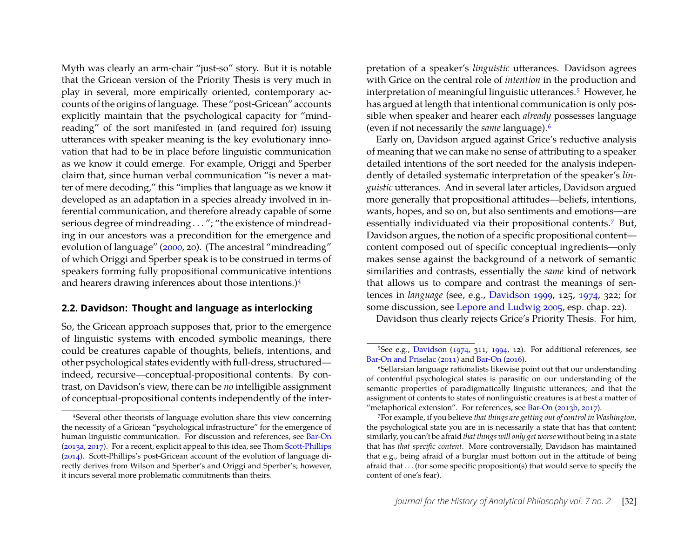Myth was clearly an arm-chair "just-so" story. But it is notable that the Gricean version of the Priority Thesis is very much in play in several, more empirically oriented, contemporary accounts of the origins of language. These "post-Gricean" accounts explicitly maintain that the psychological capacity for "mindreading" of the sort manifested in (and required for) issuing utterances with speaker meaning is the key evolutionary innovation that had to be in place before linguistic communication as we know it could emerge. For example, Origgi and Sperber claim that, since human verbal communication "is never a matter of mere decoding," this "implies that language as we know it developed as an adaptation in a species already involved in inferential communication, and therefore already capable of some serious degree of mindreading . . . "; "the existence of mindreading in our ancestors was a precondition for the emergence and evolution of language" [\(2000,](#page-17-3) 20). (The ancestral "mindreading" of which Origgi and Sperber speak is to be construed in terms of speakers forming fully propositional communicative intentions and hearers drawing inferences about those intentions.)[4](#page-3-0)

#### <span id="page-3-4"></span>**2.2. Davidson: Thought and language as interlocking**

So, the Gricean approach supposes that, prior to the emergence of linguistic systems with encoded symbolic meanings, there could be creatures capable of thoughts, beliefs, intentions, and other psychological states evidently with full-dress, structured indeed, recursive—conceptual-propositional contents. By contrast, on Davidson's view, there can be *no* intelligible assignment of conceptual-propositional contents independently of the inter-

pretation of a speaker's *linguistic* utterances. Davidson agrees with Grice on the central role of *intention* in the production and interpretation of meaningful linguistic utterances.[5](#page-3-1) However, he has argued at length that intentional communication is only possible when speaker and hearer each *already* possesses language (even if not necessarily the *same* language).[6](#page-3-2)

Early on, Davidson argued against Grice's reductive analysis of meaning that we can make no sense of attributing to a speaker detailed intentions of the sort needed for the analysis independently of detailed systematic interpretation of the speaker's *linguistic* utterances. And in several later articles, Davidson argued more generally that propositional attitudes—beliefs, intentions, wants, hopes, and so on, but also sentiments and emotions—are essentially individuated via their propositional contents.[7](#page-3-3) But, Davidson argues, the notion of a specific propositional content content composed out of specific conceptual ingredients—only makes sense against the background of a network of semantic similarities and contrasts, essentially the *same* kind of network that allows us to compare and contrast the meanings of sentences in *language* (see, e.g., [Davidson 1999,](#page-16-4) 125, [1974,](#page-16-5) 322; for some discussion, see [Lepore and Ludwig 2005,](#page-17-5) esp. chap. 22).

Davidson thus clearly rejects Grice's Priority Thesis. For him,

<span id="page-3-0"></span><sup>4</sup>Several other theorists of language evolution share this view concerning the necessity of a Gricean "psychological infrastructure" for the emergence of human linguistic communication. For discussion and references, see [Bar-On](#page-15-2) [\(2013a,](#page-15-2) [2017\)](#page-15-3). For a recent, explicit appeal to this idea, see Thom [Scott-Phillips](#page-17-4) [\(2014\)](#page-17-4). Scott-Phillips's post-Gricean account of the evolution of language directly derives from Wilson and Sperber's and Origgi and Sperber's; however, it incurs several more problematic commitments than theirs.

<span id="page-3-1"></span><sup>&</sup>lt;sup>5</sup>See e.g., [Davidson](#page-16-5) [\(1974,](#page-16-5) 311; [1994,](#page-16-6) 12). For additional references, see [Bar-On and Priselac](#page-15-4) [\(2011\)](#page-15-4) and [Bar-On](#page-15-1) [\(2016\)](#page-15-1).

<span id="page-3-2"></span><sup>6</sup>Sellarsian language rationalists likewise point out that our understanding of contentful psychological states is parasitic on our understanding of the semantic properties of paradigmatically linguistic utterances; and that the assignment of contents to states of nonlinguistic creatures is at best a matter of "metaphorical extension". For references, see [Bar-On](#page-15-5) [\(2013b,](#page-15-5) [2017\)](#page-15-3).

<span id="page-3-3"></span><sup>7</sup>For example, if you believe *that things are getting out of control in Washington*, the psychological state you are in is necessarily a state that has that content; similarly, you can't be afraid *that things will only get worse* without being in a state that has *that specific content*. More controversially, Davidson has maintained that e.g., being afraid of a burglar must bottom out in the attitude of being afraid that . . . (for some specific proposition(s) that would serve to specify the content of one's fear).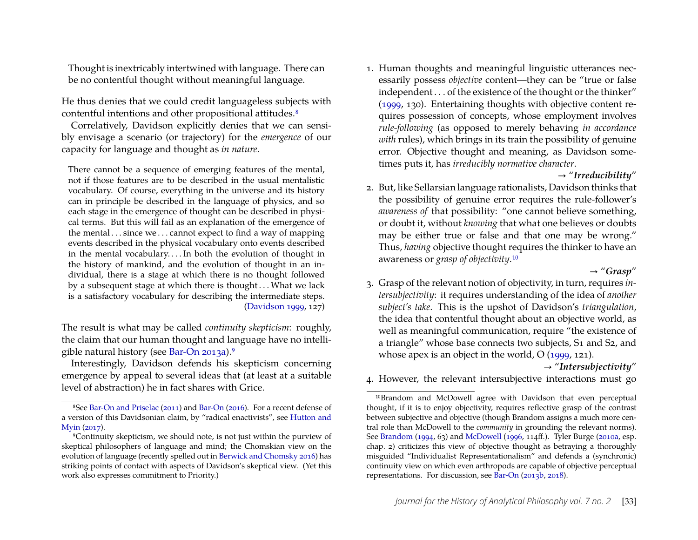Thought is inextricably intertwined with language. There can be no contentful thought without meaningful language.

He thus denies that we could credit languageless subjects with contentful intentions and other propositional attitudes.<sup>[8](#page-4-0)</sup>

Correlatively, Davidson explicitly denies that we can sensibly envisage a scenario (or trajectory) for the *emergence* of our capacity for language and thought as *in nature*.

There cannot be a sequence of emerging features of the mental, not if those features are to be described in the usual mentalistic vocabulary. Of course, everything in the universe and its history can in principle be described in the language of physics, and so each stage in the emergence of thought can be described in physical terms. But this will fail as an explanation of the emergence of the mental  $\dots$  since we  $\dots$  cannot expect to find a way of mapping events described in the physical vocabulary onto events described in the mental vocabulary. . . . In both the evolution of thought in the history of mankind, and the evolution of thought in an individual, there is a stage at which there is no thought followed by a subsequent stage at which there is thought . . . What we lack is a satisfactory vocabulary for describing the intermediate steps. [\(Davidson 1999,](#page-16-4) 127)

The result is what may be called *continuity skepticism*: roughly, the claim that our human thought and language have no intelligible natural history (see [Bar-On 2013a\)](#page-15-2).[9](#page-4-1)

Interestingly, Davidson defends his skepticism concerning emergence by appeal to several ideas that (at least at a suitable level of abstraction) he in fact shares with Grice.

<span id="page-4-3"></span>1. Human thoughts and meaningful linguistic utterances necessarily possess *objective* content—they can be "true or false independent . . . of the existence of the thought or the thinker" [\(1999,](#page-16-4) 130). Entertaining thoughts with objective content requires possession of concepts, whose employment involves *rule-following* (as opposed to merely behaving *in accordance with* rules), which brings in its train the possibility of genuine error. Objective thought and meaning, as Davidson sometimes puts it, has *irreducibly normative character*.

#### → "*Irreducibility*"

2. But, like Sellarsian language rationalists, Davidson thinks that the possibility of genuine error requires the rule-follower's *awareness of* that possibility: "one cannot believe something, or doubt it, without *knowing* that what one believes or doubts may be either true or false and that one may be wrong." Thus, *having* objective thought requires the thinker to have an awareness or *grasp of objectivity*.[10](#page-4-2)

→ "*Grasp*"

<span id="page-4-5"></span>3. Grasp of the relevant notion of objectivity, in turn, requires *intersubjectivity*: it requires understanding of the idea of *another subject's take*. This is the upshot of Davidson's *triangulation*, the idea that contentful thought about an objective world, as well as meaningful communication, require "the existence of a triangle" whose base connects two subjects, S1 and S2, and whose apex is an object in the world, O [\(1999,](#page-16-4) 121).

#### → "*Intersubjectivity*"

<span id="page-4-4"></span>4. However, the relevant intersubjective interactions must go

<span id="page-4-0"></span><sup>8</sup>See [Bar-On and Priselac](#page-15-4) [\(2011\)](#page-15-4) and [Bar-On](#page-15-1) [\(2016\)](#page-15-1). For a recent defense of a version of this Davidsonian claim, by "radical enactivists", see [Hutton and](#page-16-7) [Myin](#page-16-7) [\(2017\)](#page-16-7).

<span id="page-4-1"></span><sup>9</sup>Continuity skepticism, we should note, is not just within the purview of skeptical philosophers of language and mind; the Chomskian view on the evolution of language (recently spelled out in [Berwick and Chomsky 2016\)](#page-15-6) has striking points of contact with aspects of Davidson's skeptical view. (Yet this work also expresses commitment to Priority.)

<span id="page-4-2"></span><sup>10</sup>Brandom and McDowell agree with Davidson that even perceptual thought, if it is to enjoy objectivity, requires reflective grasp of the contrast between subjective and objective (though Brandom assigns a much more central role than McDowell to the *community* in grounding the relevant norms). See [Brandom](#page-15-7) [\(1994,](#page-15-7) 63) and [McDowell](#page-17-6) [\(1996,](#page-17-6) 114ff.). Tyler Burge [\(2010a,](#page-16-8) esp. chap. 2) criticizes this view of objective thought as betraying a thoroughly misguided "Individualist Representationalism" and defends a (synchronic) continuity view on which even arthropods are capable of objective perceptual representations. For discussion, see [Bar-On](#page-15-5) [\(2013b,](#page-15-5) [2018\)](#page-15-8).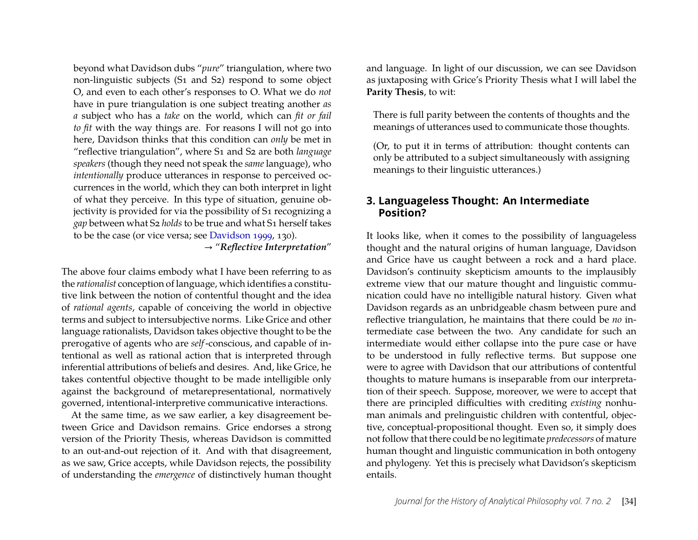beyond what Davidson dubs "*pure*" triangulation, where two non-linguistic subjects (S1 and S2) respond to some object O, and even to each other's responses to O. What we do *not* have in pure triangulation is one subject treating another *as a* subject who has a *take* on the world, which can *fit or fail to fit* with the way things are. For reasons I will not go into here, Davidson thinks that this condition can *only* be met in "reflective triangulation", where S1 and S2 are both *language speakers* (though they need not speak the *same* language), who *intentionally* produce utterances in response to perceived occurrences in the world, which they can both interpret in light of what they perceive. In this type of situation, genuine objectivity is provided for via the possibility of S1 recognizing a *gap* between what S2 *holds* to be true and what S1 herself takes to be the case (or vice versa; see [Davidson 1999,](#page-16-4) 130).

→ "*Reflective Interpretation*"

The above four claims embody what I have been referring to as the *rationalist* conception of language, which identifies a constitutive link between the notion of contentful thought and the idea of *rational agents*, capable of conceiving the world in objective terms and subject to intersubjective norms. Like Grice and other language rationalists, Davidson takes objective thought to be the prerogative of agents who are *self*-conscious, and capable of intentional as well as rational action that is interpreted through inferential attributions of beliefs and desires. And, like Grice, he takes contentful objective thought to be made intelligible only against the background of metarepresentational, normatively governed, intentional-interpretive communicative interactions.

At the same time, as we saw earlier, a key disagreement between Grice and Davidson remains. Grice endorses a strong version of the Priority Thesis, whereas Davidson is committed to an out-and-out rejection of it. And with that disagreement, as we saw, Grice accepts, while Davidson rejects, the possibility of understanding the *emergence* of distinctively human thought and language. In light of our discussion, we can see Davidson as juxtaposing with Grice's Priority Thesis what I will label the **Parity Thesis**, to wit:

There is full parity between the contents of thoughts and the meanings of utterances used to communicate those thoughts.

(Or, to put it in terms of attribution: thought contents can only be attributed to a subject simultaneously with assigning meanings to their linguistic utterances.)

# <span id="page-5-0"></span>**3. Languageless Thought: An Intermediate Position?**

It looks like, when it comes to the possibility of languageless thought and the natural origins of human language, Davidson and Grice have us caught between a rock and a hard place. Davidson's continuity skepticism amounts to the implausibly extreme view that our mature thought and linguistic communication could have no intelligible natural history. Given what Davidson regards as an unbridgeable chasm between pure and reflective triangulation, he maintains that there could be *no* intermediate case between the two. Any candidate for such an intermediate would either collapse into the pure case or have to be understood in fully reflective terms. But suppose one were to agree with Davidson that our attributions of contentful thoughts to mature humans is inseparable from our interpretation of their speech. Suppose, moreover, we were to accept that there are principled difficulties with crediting *existing* nonhuman animals and prelinguistic children with contentful, objective, conceptual-propositional thought. Even so, it simply does not follow that there could be no legitimate *predecessors* of mature human thought and linguistic communication in both ontogeny and phylogeny. Yet this is precisely what Davidson's skepticism entails.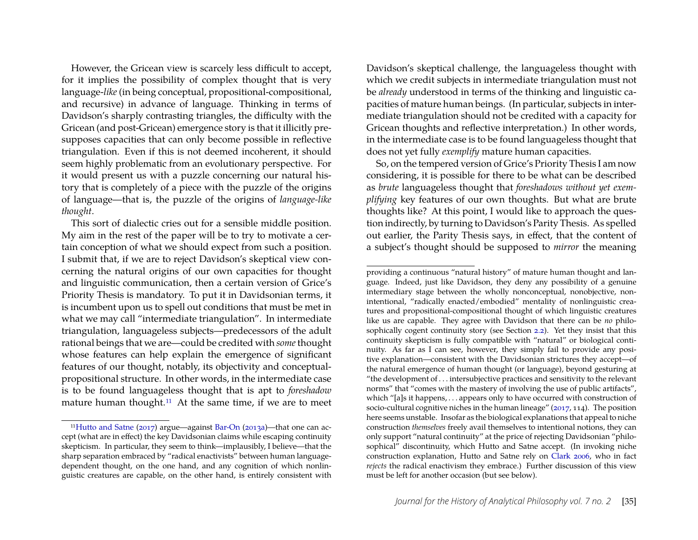However, the Gricean view is scarcely less difficult to accept, for it implies the possibility of complex thought that is very language-*like* (in being conceptual, propositional-compositional, and recursive) in advance of language. Thinking in terms of Davidson's sharply contrasting triangles, the difficulty with the Gricean (and post-Gricean) emergence story is that it illicitly presupposes capacities that can only become possible in reflective triangulation. Even if this is not deemed incoherent, it should seem highly problematic from an evolutionary perspective. For it would present us with a puzzle concerning our natural history that is completely of a piece with the puzzle of the origins of language—that is, the puzzle of the origins of *language-like thought*.

This sort of dialectic cries out for a sensible middle position. My aim in the rest of the paper will be to try to motivate a certain conception of what we should expect from such a position. I submit that, if we are to reject Davidson's skeptical view concerning the natural origins of our own capacities for thought and linguistic communication, then a certain version of Grice's Priority Thesis is mandatory. To put it in Davidsonian terms, it is incumbent upon us to spell out conditions that must be met in what we may call "intermediate triangulation". In intermediate triangulation, languageless subjects—predecessors of the adult rational beings that we are—could be credited with *some*thought whose features can help explain the emergence of significant features of our thought, notably, its objectivity and conceptualpropositional structure. In other words, in the intermediate case is to be found languageless thought that is apt to *foreshadow* mature human thought.[11](#page-6-0) At the same time, if we are to meet

Davidson's skeptical challenge, the languageless thought with which we credit subjects in intermediate triangulation must not be *already* understood in terms of the thinking and linguistic capacities of mature human beings. (In particular, subjects in intermediate triangulation should not be credited with a capacity for Gricean thoughts and reflective interpretation.) In other words, in the intermediate case is to be found languageless thought that does not yet fully *exemplify* mature human capacities.

So, on the tempered version of Grice's Priority Thesis I am now considering, it is possible for there to be what can be described as *brute* languageless thought that *foreshadows without yet exemplifying* key features of our own thoughts. But what are brute thoughts like? At this point, I would like to approach the question indirectly, by turning to Davidson's Parity Thesis. As spelled out earlier, the Parity Thesis says, in effect, that the content of a subject's thought should be supposed to *mirror* the meaning

<span id="page-6-0"></span><sup>11</sup>[Hutto and Satne](#page-17-7) [\(2017\)](#page-17-7) argue—against [Bar-On](#page-15-2) [\(2013a\)](#page-15-2)—that one can accept (what are in effect) the key Davidsonian claims while escaping continuity skepticism. In particular, they seem to think—implausibly, I believe—that the sharp separation embraced by "radical enactivists" between human languagedependent thought, on the one hand, and any cognition of which nonlinguistic creatures are capable, on the other hand, is entirely consistent with

providing a continuous "natural history" of mature human thought and language. Indeed, just like Davidson, they deny any possibility of a genuine intermediary stage between the wholly nonconceptual, nonobjective, nonintentional, "radically enacted/embodied" mentality of nonlinguistic creatures and propositional-compositional thought of which linguistic creatures like us are capable. They agree with Davidson that there can be *no* philosophically cogent continuity story (see Section [2.2\)](#page-3-4). Yet they insist that this continuity skepticism is fully compatible with "natural" or biological continuity. As far as I can see, however, they simply fail to provide any positive explanation—consistent with the Davidsonian strictures they accept—of the natural emergence of human thought (or language), beyond gesturing at "the development of . . . intersubjective practices and sensitivity to the relevant norms" that "comes with the mastery of involving the use of public artifacts", which "[a]s it happens, . . . appears only to have occurred with construction of socio-cultural cognitive niches in the human lineage" [\(2017,](#page-17-7) 114). The position here seems unstable. Insofar as the biological explanations that appeal to niche construction *themselves* freely avail themselves to intentional notions, they can only support "natural continuity" at the price of rejecting Davidsonian "philosophical" discontinuity, which Hutto and Satne accept. (In invoking niche construction explanation, Hutto and Satne rely on [Clark 2006,](#page-16-9) who in fact *rejects* the radical enactivism they embrace.) Further discussion of this view must be left for another occasion (but see below).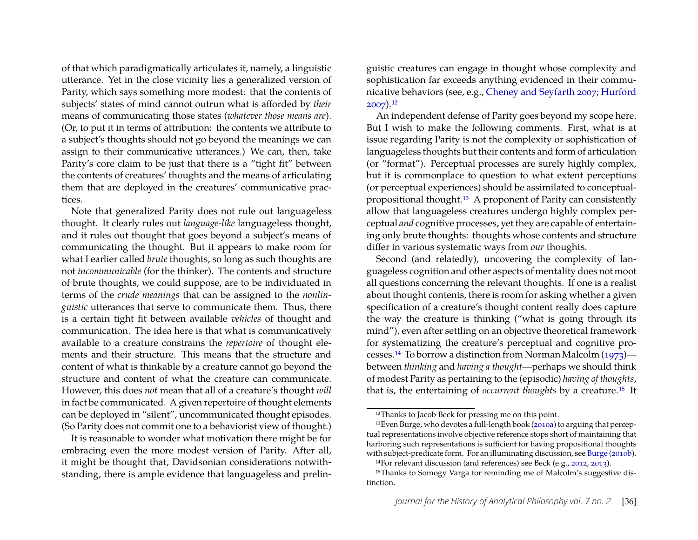of that which paradigmatically articulates it, namely, a linguistic utterance. Yet in the close vicinity lies a generalized version of Parity, which says something more modest: that the contents of subjects' states of mind cannot outrun what is afforded by *their* means of communicating those states (*whatever those means are*). (Or, to put it in terms of attribution: the contents we attribute to a subject's thoughts should not go beyond the meanings we can assign to their communicative utterances.) We can, then, take Parity's core claim to be just that there is a "tight fit" between the contents of creatures' thoughts and the means of articulating them that are deployed in the creatures' communicative practices.

Note that generalized Parity does not rule out languageless thought. It clearly rules out *language-like* languageless thought, and it rules out thought that goes beyond a subject's means of communicating the thought. But it appears to make room for what I earlier called *brute* thoughts, so long as such thoughts are not *incommunicable* (for the thinker). The contents and structure of brute thoughts, we could suppose, are to be individuated in terms of the *crude meanings* that can be assigned to the *nonlinguistic* utterances that serve to communicate them. Thus, there is a certain tight fit between available *vehicles* of thought and communication. The idea here is that what is communicatively available to a creature constrains the *repertoire* of thought elements and their structure. This means that the structure and content of what is thinkable by a creature cannot go beyond the structure and content of what the creature can communicate. However, this does *not* mean that all of a creature's thought *will* in fact be communicated. A given repertoire of thought elements can be deployed in "silent", uncommunicated thought episodes. (So Parity does not commit one to a behaviorist view of thought.)

It is reasonable to wonder what motivation there might be for embracing even the more modest version of Parity. After all, it might be thought that, Davidsonian considerations notwithstanding, there is ample evidence that languageless and prelin-

guistic creatures can engage in thought whose complexity and sophistication far exceeds anything evidenced in their communicative behaviors (see, e.g., [Cheney and Seyfarth 2007;](#page-16-10) [Hurford](#page-16-11) [2007\)](#page-16-11).[12](#page-7-0)

An independent defense of Parity goes beyond my scope here. But I wish to make the following comments. First, what is at issue regarding Parity is not the complexity or sophistication of languageless thoughts but their contents and form of articulation (or "format"). Perceptual processes are surely highly complex, but it is commonplace to question to what extent perceptions (or perceptual experiences) should be assimilated to conceptualpropositional thought.[13](#page-7-1) A proponent of Parity can consistently allow that languageless creatures undergo highly complex perceptual *and* cognitive processes, yet they are capable of entertaining only brute thoughts: thoughts whose contents and structure differ in various systematic ways from *our* thoughts.

Second (and relatedly), uncovering the complexity of languageless cognition and other aspects of mentality does not moot all questions concerning the relevant thoughts. If one is a realist about thought contents, there is room for asking whether a given specification of a creature's thought content really does capture the way the creature is thinking ("what is going through its mind"), even after settling on an objective theoretical framework for systematizing the creature's perceptual and cognitive processes.[14](#page-7-2) To borrow a distinction from Norman Malcolm [\(1973\)](#page-17-8) between *thinking* and *having a thought*—perhaps we should think of modest Parity as pertaining to the (episodic) *having of thoughts*, that is, the entertaining of *occurrent thoughts* by a creature.[15](#page-7-3) It

<span id="page-7-1"></span><span id="page-7-0"></span><sup>&</sup>lt;sup>12</sup>Thanks to Jacob Beck for pressing me on this point.

<sup>13</sup>Even Burge, who devotes a full-length book [\(2010a\)](#page-16-8) to arguing that perceptual representations involve objective reference stops short of maintaining that harboring such representations is sufficient for having propositional thoughts with subject-predicate form. For an illuminating discussion, see [Burge](#page-16-12) [\(2010b\)](#page-16-12).

<span id="page-7-3"></span><span id="page-7-2"></span><sup>14</sup>For relevant discussion (and references) see Beck (e.g., [2012,](#page-15-9) [2013\)](#page-15-10).

<sup>15</sup>Thanks to Somogy Varga for reminding me of Malcolm's suggestive distinction.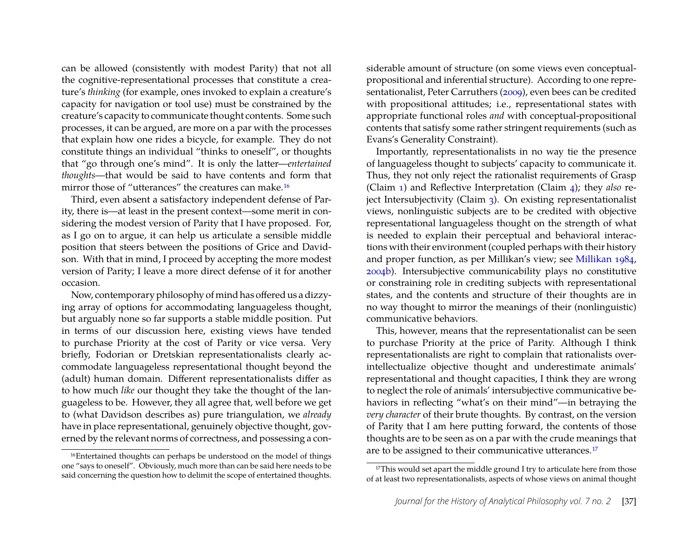can be allowed (consistently with modest Parity) that not all the cognitive-representational processes that constitute a creature's *thinking* (for example, ones invoked to explain a creature's capacity for navigation or tool use) must be constrained by the creature's capacity to communicate thought contents. Some such processes, it can be argued, are more on a par with the processes that explain how one rides a bicycle, for example. They do not constitute things an individual "thinks to oneself", or thoughts that "go through one's mind". It is only the latter—*entertained thoughts*—that would be said to have contents and form that mirror those of "utterances" the creatures can make.<sup>[16](#page-8-0)</sup>

Third, even absent a satisfactory independent defense of Parity, there is—at least in the present context—some merit in considering the modest version of Parity that I have proposed. For, as I go on to argue, it can help us articulate a sensible middle position that steers between the positions of Grice and Davidson. With that in mind, I proceed by accepting the more modest version of Parity; I leave a more direct defense of it for another occasion.

Now, contemporary philosophy of mind has offered us a dizzying array of options for accommodating languageless thought, but arguably none so far supports a stable middle position. Put in terms of our discussion here, existing views have tended to purchase Priority at the cost of Parity or vice versa. Very briefly, Fodorian or Dretskian representationalists clearly accommodate languageless representational thought beyond the (adult) human domain. Different representationalists differ as to how much *like* our thought they take the thought of the languageless to be. However, they all agree that, well before we get to (what Davidson describes as) pure triangulation, we *already* have in place representational, genuinely objective thought, governed by the relevant norms of correctness, and possessing a considerable amount of structure (on some views even conceptualpropositional and inferential structure). According to one representationalist, Peter Carruthers [\(2009\)](#page-16-13), even bees can be credited with propositional attitudes; i.e., representational states with appropriate functional roles *and* with conceptual-propositional contents that satisfy some rather stringent requirements (such as Evans's Generality Constraint).

Importantly, representationalists in no way tie the presence of languageless thought to subjects' capacity to communicate it. Thus, they not only reject the rationalist requirements of Grasp (Claim [1\)](#page-4-3) and Reflective Interpretation (Claim [4\)](#page-4-4); they *also* reject Intersubjectivity (Claim [3\)](#page-4-5). On existing representationalist views, nonlinguistic subjects are to be credited with objective representational languageless thought on the strength of what is needed to explain their perceptual and behavioral interactions with their environment (coupled perhaps with their history and proper function, as per Millikan's view; see [Millikan 1984,](#page-17-1) [2004b\)](#page-17-2). Intersubjective communicability plays no constitutive or constraining role in crediting subjects with representational states, and the contents and structure of their thoughts are in no way thought to mirror the meanings of their (nonlinguistic) communicative behaviors.

This, however, means that the representationalist can be seen to purchase Priority at the price of Parity. Although I think representationalists are right to complain that rationalists overintellectualize objective thought and underestimate animals' representational and thought capacities, I think they are wrong to neglect the role of animals' intersubjective communicative behaviors in reflecting "what's on their mind"—in betraying the *very character* of their brute thoughts. By contrast, on the version of Parity that I am here putting forward, the contents of those thoughts are to be seen as on a par with the crude meanings that are to be assigned to their communicative utterances.<sup>[17](#page-8-1)</sup>

<span id="page-8-0"></span><sup>&</sup>lt;sup>16</sup>Entertained thoughts can perhaps be understood on the model of things one "says to oneself". Obviously, much more than can be said here needs to be said concerning the question how to delimit the scope of entertained thoughts.

<span id="page-8-1"></span><sup>&</sup>lt;sup>17</sup>This would set apart the middle ground I try to articulate here from those of at least two representationalists, aspects of whose views on animal thought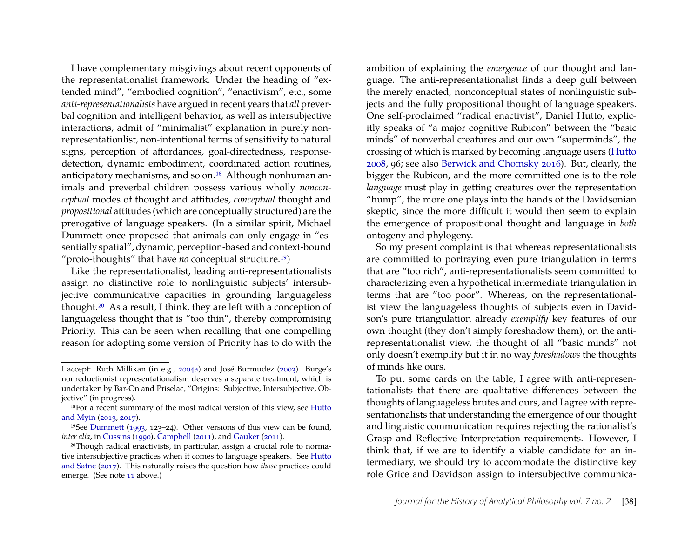I have complementary misgivings about recent opponents of the representationalist framework. Under the heading of "extended mind", "embodied cognition", "enactivism", etc., some *anti-representationalists* have argued in recent years that *all* preverbal cognition and intelligent behavior, as well as intersubjective interactions, admit of "minimalist" explanation in purely nonrepresentationlist, non-intentional terms of sensitivity to natural signs, perception of affordances, goal-directedness, responsedetection, dynamic embodiment, coordinated action routines, anticipatory mechanisms, and so on.<sup>[18](#page-9-0)</sup> Although nonhuman animals and preverbal children possess various wholly *nonconceptual* modes of thought and attitudes, *conceptual* thought and *propositional* attitudes (which are conceptually structured) are the prerogative of language speakers. (In a similar spirit, Michael Dummett once proposed that animals can only engage in "essentially spatial", dynamic, perception-based and context-bound "proto-thoughts" that have *no* conceptual structure.[19](#page-9-1))

Like the representationalist, leading anti-representationalists assign no distinctive role to nonlinguistic subjects' intersubjective communicative capacities in grounding languageless thought.[20](#page-9-2) As a result, I think, they are left with a conception of languageless thought that is "too thin", thereby compromising Priority. This can be seen when recalling that one compelling reason for adopting some version of Priority has to do with the

ambition of explaining the *emergence* of our thought and language. The anti-representationalist finds a deep gulf between the merely enacted, nonconceptual states of nonlinguistic subjects and the fully propositional thought of language speakers. One self-proclaimed "radical enactivist", Daniel Hutto, explicitly speaks of "a major cognitive Rubicon" between the "basic minds" of nonverbal creatures and our own "superminds", the crossing of which is marked by becoming language users [\(Hutto](#page-16-19) [2008,](#page-16-19) 96; see also [Berwick and Chomsky 2016\)](#page-15-6). But, clearly, the bigger the Rubicon, and the more committed one is to the role *language* must play in getting creatures over the representation "hump", the more one plays into the hands of the Davidsonian skeptic, since the more difficult it would then seem to explain the emergence of propositional thought and language in *both* ontogeny and phylogeny.

So my present complaint is that whereas representationalists are committed to portraying even pure triangulation in terms that are "too rich", anti-representationalists seem committed to characterizing even a hypothetical intermediate triangulation in terms that are "too poor". Whereas, on the representationalist view the languageless thoughts of subjects even in Davidson's pure triangulation already *exemplify* key features of our own thought (they don't simply foreshadow them), on the antirepresentationalist view, the thought of all "basic minds" not only doesn't exemplify but it in no way *foreshadows* the thoughts of minds like ours.

To put some cards on the table, I agree with anti-representationalists that there are qualitative differences between the thoughts of languageless brutes and ours, and I agree with representationalists that understanding the emergence of our thought and linguistic communication requires rejecting the rationalist's Grasp and Reflective Interpretation requirements. However, I think that, if we are to identify a viable candidate for an intermediary, we should try to accommodate the distinctive key role Grice and Davidson assign to intersubjective communica-

I accept: Ruth Millikan (in e.g., [2004a\)](#page-17-9) and José Burmudez [\(2003\)](#page-15-11). Burge's nonreductionist representationalism deserves a separate treatment, which is undertaken by Bar-On and Priselac, "Origins: Subjective, Intersubjective, Objective" (in progress).

<span id="page-9-0"></span><sup>18</sup>For a recent summary of the most radical version of this view, see [Hutto](#page-16-14) [and Myin](#page-16-14) [\(2013,](#page-16-14) [2017\)](#page-16-7).

<span id="page-9-1"></span><sup>19</sup>See [Dummett](#page-16-15) [\(1993,](#page-16-15) 123–24). Other versions of this view can be found, *inter alia*, in [Cussins](#page-16-16) [\(1990\)](#page-16-16), [Campbell](#page-16-17) [\(2011\)](#page-16-18), and [Gauker](#page-16-18) (2011).

<span id="page-9-2"></span><sup>20</sup>Though radical enactivists, in particular, assign a crucial role to normative intersubjective practices when it comes to language speakers. See [Hutto](#page-17-7) [and Satne](#page-17-7) [\(2017\)](#page-17-7). This naturally raises the question how *those* practices could emerge. (See note [11](#page-6-0) above.)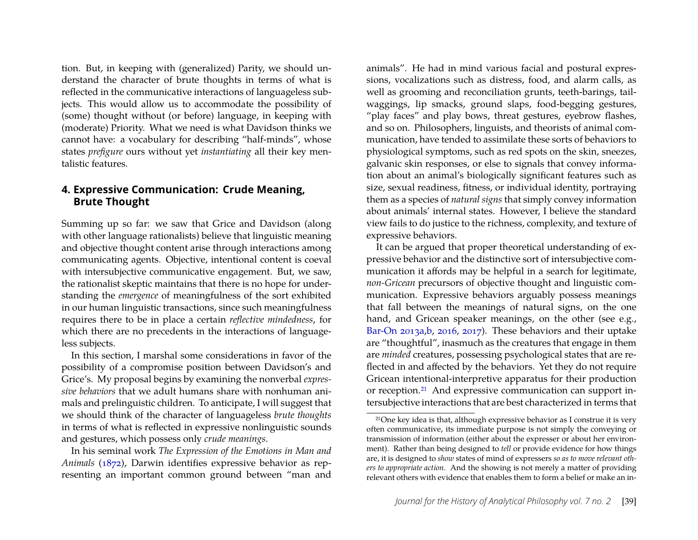tion. But, in keeping with (generalized) Parity, we should understand the character of brute thoughts in terms of what is reflected in the communicative interactions of languageless subjects. This would allow us to accommodate the possibility of (some) thought without (or before) language, in keeping with (moderate) Priority. What we need is what Davidson thinks we cannot have: a vocabulary for describing "half-minds", whose states *prefigure* ours without yet *instantiating* all their key mentalistic features.

# <span id="page-10-0"></span>**4. Expressive Communication: Crude Meaning, Brute Thought**

Summing up so far: we saw that Grice and Davidson (along with other language rationalists) believe that linguistic meaning and objective thought content arise through interactions among communicating agents. Objective, intentional content is coeval with intersubjective communicative engagement. But, we saw, the rationalist skeptic maintains that there is no hope for understanding the *emergence* of meaningfulness of the sort exhibited in our human linguistic transactions, since such meaningfulness requires there to be in place a certain *reflective mindedness*, for which there are no precedents in the interactions of languageless subjects.

In this section, I marshal some considerations in favor of the possibility of a compromise position between Davidson's and Grice's. My proposal begins by examining the nonverbal *expressive behaviors* that we adult humans share with nonhuman animals and prelinguistic children. To anticipate, I will suggest that we should think of the character of languageless *brute thoughts* in terms of what is reflected in expressive nonlinguistic sounds and gestures, which possess only *crude meanings*.

In his seminal work *The Expression of the Emotions in Man and Animals* [\(1872\)](#page-16-20), Darwin identifies expressive behavior as representing an important common ground between "man and

animals". He had in mind various facial and postural expressions, vocalizations such as distress, food, and alarm calls, as well as grooming and reconciliation grunts, teeth-barings, tailwaggings, lip smacks, ground slaps, food-begging gestures, "play faces" and play bows, threat gestures, eyebrow flashes, and so on. Philosophers, linguists, and theorists of animal communication, have tended to assimilate these sorts of behaviors to physiological symptoms, such as red spots on the skin, sneezes, galvanic skin responses, or else to signals that convey information about an animal's biologically significant features such as size, sexual readiness, fitness, or individual identity, portraying them as a species of *natural signs* that simply convey information about animals' internal states. However, I believe the standard view fails to do justice to the richness, complexity, and texture of expressive behaviors.

It can be argued that proper theoretical understanding of expressive behavior and the distinctive sort of intersubjective communication it affords may be helpful in a search for legitimate, *non-Gricean* precursors of objective thought and linguistic communication. Expressive behaviors arguably possess meanings that fall between the meanings of natural signs, on the one hand, and Gricean speaker meanings, on the other (see e.g., [Bar-On 2013a](#page-15-2)[,b,](#page-15-5) [2016,](#page-15-1) [2017\)](#page-15-3). These behaviors and their uptake are "thoughtful", inasmuch as the creatures that engage in them are *minded* creatures, possessing psychological states that are reflected in and affected by the behaviors. Yet they do not require Gricean intentional-interpretive apparatus for their production or reception.[21](#page-10-1) And expressive communication can support intersubjective interactions that are best characterized in terms that

<span id="page-10-1"></span><sup>21</sup>One key idea is that, although expressive behavior as I construe it is very often communicative, its immediate purpose is not simply the conveying or transmission of information (either about the expresser or about her environment). Rather than being designed to *tell* or provide evidence for how things are, it is designed to *show* states of mind of expressers *so as to move relevant others to appropriate action*. And the showing is not merely a matter of providing relevant others with evidence that enables them to form a belief or make an in-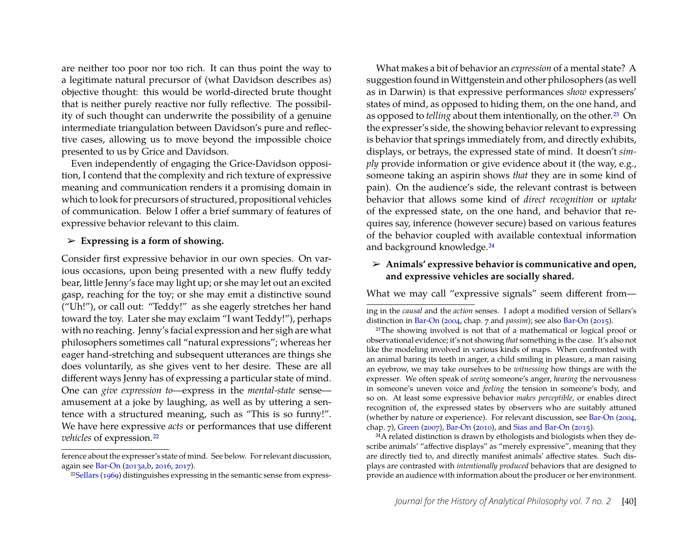are neither too poor nor too rich. It can thus point the way to a legitimate natural precursor of (what Davidson describes as) objective thought: this would be world-directed brute thought that is neither purely reactive nor fully reflective. The possibility of such thought can underwrite the possibility of a genuine intermediate triangulation between Davidson's pure and reflective cases, allowing us to move beyond the impossible choice presented to us by Grice and Davidson.

Even independently of engaging the Grice-Davidson opposition, I contend that the complexity and rich texture of expressive meaning and communication renders it a promising domain in which to look for precursors of structured, propositional vehicles of communication. Below I offer a brief summary of features of expressive behavior relevant to this claim.

#### ➢ **Expressing is a form of showing.**

Consider first expressive behavior in our own species. On various occasions, upon being presented with a new fluffy teddy bear, little Jenny's face may light up; or she may let out an excited gasp, reaching for the toy; or she may emit a distinctive sound ("Uh!"), or call out: "Teddy!" as she eagerly stretches her hand toward the toy. Later she may exclaim "I want Teddy!"), perhaps with no reaching. Jenny's facial expression and her sigh are what philosophers sometimes call "natural expressions"; whereas her eager hand-stretching and subsequent utterances are things she does voluntarily, as she gives vent to her desire. These are all different ways Jenny has of expressing a particular state of mind. One can *give expression to*—express in the *mental-state* sense amusement at a joke by laughing, as well as by uttering a sentence with a structured meaning, such as "This is so funny!". We have here expressive *acts* or performances that use different *vehicles* of expression.<sup>[22](#page-11-0)</sup>

What makes a bit of behavior an *expression* of a mental state? A suggestion found inWittgenstein and other philosophers (as well as in Darwin) is that expressive performances *show* expressers' states of mind, as opposed to hiding them, on the one hand, and as opposed to *telling* about them intentionally, on the other.<sup>[23](#page-11-1)</sup> On the expresser's side, the showing behavior relevant to expressing is behavior that springs immediately from, and directly exhibits, displays, or betrays, the expressed state of mind. It doesn't *simply* provide information or give evidence about it (the way, e.g., someone taking an aspirin shows *that* they are in some kind of pain). On the audience's side, the relevant contrast is between behavior that allows some kind of *direct recognition* or *uptake* of the expressed state, on the one hand, and behavior that requires say, inference (however secure) based on various features of the behavior coupled with available contextual information and background knowledge.<sup>[24](#page-11-2)</sup>

#### ➢ **Animals' expressive behavior is communicative and open, and expressive vehicles are socially shared.**

What we may call "expressive signals" seem different from—

ing in the *causal* and the *action* senses. I adopt a modified version of Sellars's distinction in [Bar-On](#page-15-12) [\(2004,](#page-15-12) chap. 7 and *passim*); see also [Bar-On](#page-15-13) [\(2015\)](#page-15-13).

<span id="page-11-1"></span><sup>23</sup>The showing involved is not that of a mathematical or logical proof or observational evidence; it's not showing *that* something is the case. It's also not like the modeling involved in various kinds of maps. When confronted with an animal baring its teeth in anger, a child smiling in pleasure, a man raising an eyebrow, we may take ourselves to be *witnessing* how things are with the expresser. We often speak of *seeing* someone's anger, *hearing* the nervousness in someone's uneven voice and *feeling* the tension in someone's body, and so on. At least some expressive behavior *makes perceptible*, or enables direct recognition of, the expressed states by observers who are suitably attuned (whether by nature or experience). For relevant discussion, see [Bar-On](#page-15-12) [\(2004,](#page-15-12) chap. 7), [Green](#page-16-21) [\(2007\)](#page-16-21), [Bar-On](#page-15-14) [\(2010\)](#page-15-14), and [Sias and Bar-On](#page-17-11) [\(2015\)](#page-17-11).

<span id="page-11-2"></span> $^{24}$ A related distinction is drawn by ethologists and biologists when they describe animals' "affective displays" as "merely expressive", meaning that they are directly tied to, and directly manifest animals' affective states. Such displays are contrasted with *intentionally produced* behaviors that are designed to provide an audience with information about the producer or her environment.

ference about the expresser's state of mind. See below. For relevant discussion, again see [Bar-On](#page-15-2) [\(2013a](#page-15-2)[,b,](#page-15-5) [2016,](#page-15-1) [2017\)](#page-15-3).

<span id="page-11-0"></span><sup>22</sup>[Sellars](#page-17-10) [\(1969\)](#page-17-10) distinguishes expressing in the semantic sense from express-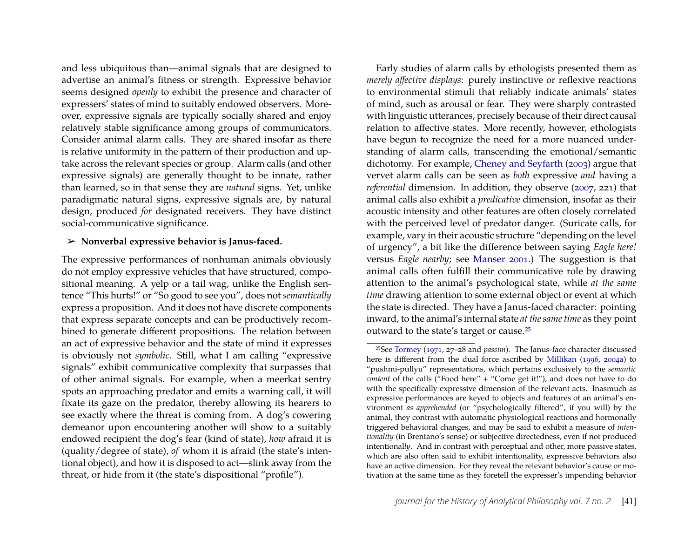and less ubiquitous than—animal signals that are designed to advertise an animal's fitness or strength. Expressive behavior seems designed *openly* to exhibit the presence and character of expressers' states of mind to suitably endowed observers. Moreover, expressive signals are typically socially shared and enjoy relatively stable significance among groups of communicators. Consider animal alarm calls. They are shared insofar as there is relative uniformity in the pattern of their production and uptake across the relevant species or group. Alarm calls (and other expressive signals) are generally thought to be innate, rather than learned, so in that sense they are *natural* signs. Yet, unlike paradigmatic natural signs, expressive signals are, by natural design, produced *for* designated receivers. They have distinct social-communicative significance.

#### ➢ **Nonverbal expressive behavior is Janus-faced.**

The expressive performances of nonhuman animals obviously do not employ expressive vehicles that have structured, compositional meaning. A yelp or a tail wag, unlike the English sentence "This hurts!" or "So good to see you", does not *semantically* express a proposition. And it does not have discrete components that express separate concepts and can be productively recombined to generate different propositions. The relation between an act of expressive behavior and the state of mind it expresses is obviously not *symbolic*. Still, what I am calling "expressive signals" exhibit communicative complexity that surpasses that of other animal signals. For example, when a meerkat sentry spots an approaching predator and emits a warning call, it will fixate its gaze on the predator, thereby allowing its hearers to see exactly where the threat is coming from. A dog's cowering demeanor upon encountering another will show to a suitably endowed recipient the dog's fear (kind of state), *how* afraid it is (quality/degree of state), *of* whom it is afraid (the state's intentional object), and how it is disposed to act—slink away from the threat, or hide from it (the state's dispositional "profile").

Early studies of alarm calls by ethologists presented them as *merely affective displays*: purely instinctive or reflexive reactions to environmental stimuli that reliably indicate animals' states of mind, such as arousal or fear. They were sharply contrasted with linguistic utterances, precisely because of their direct causal relation to affective states. More recently, however, ethologists have begun to recognize the need for a more nuanced understanding of alarm calls, transcending the emotional/semantic dichotomy. For example, [Cheney and Seyfarth](#page-16-22) [\(2003\)](#page-16-22) argue that vervet alarm calls can be seen as *both* expressive *and* having a *referential* dimension. In addition, they observe [\(2007,](#page-16-10) 221) that animal calls also exhibit a *predicative* dimension, insofar as their acoustic intensity and other features are often closely correlated with the perceived level of predator danger. (Suricate calls, for example, vary in their acoustic structure "depending on the level of urgency", a bit like the difference between saying *Eagle here!* versus *Eagle nearby*; see [Manser 2001.](#page-17-12)) The suggestion is that animal calls often fulfill their communicative role by drawing attention to the animal's psychological state, while *at the same time* drawing attention to some external object or event at which the state is directed. They have a Janus-faced character: pointing inward, to the animal's internal state *at the same time* as they point outward to the state's target or cause.[25](#page-12-0)

<span id="page-12-0"></span><sup>25</sup>See [Tormey](#page-17-13) [\(1971,](#page-17-13) 27–28 and *passim*). The Janus-face character discussed here is different from the dual force ascribed by [Millikan](#page-17-14) [\(1996,](#page-17-14) [2004a\)](#page-17-9) to "pushmi-pullyu" representations, which pertains exclusively to the *semantic content* of the calls ("Food here" + "Come get it!"), and does not have to do with the specifically expressive dimension of the relevant acts. Inasmuch as expressive performances are keyed to objects and features of an animal's environment *as apprehended* (or "psychologically filtered", if you will) by the animal, they contrast with automatic physiological reactions and hormonally triggered behavioral changes, and may be said to exhibit a measure of *intentionality* (in Brentano's sense) or subjective directedness, even if not produced intentional*ly*. And in contrast with perceptual and other, more passive states, which are also often said to exhibit intentionality, expressive behaviors also have an active dimension. For they reveal the relevant behavior's cause or motivation at the same time as they foretell the expresser's impending behavior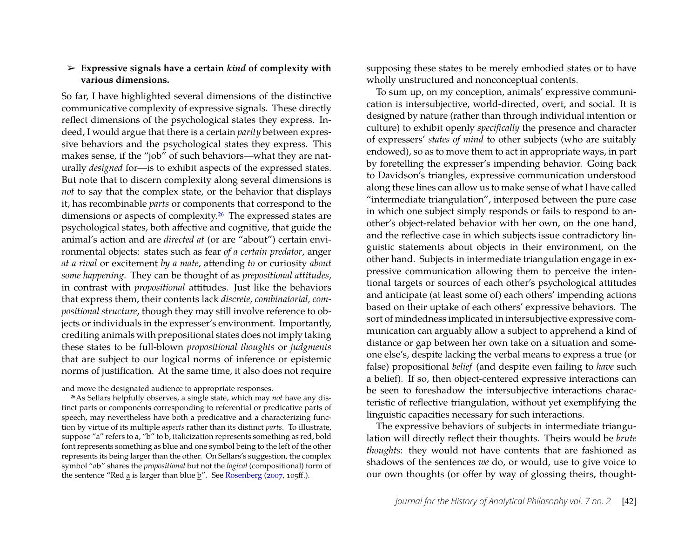#### ➢ **Expressive signals have a certain** *kind* **of complexity with various dimensions.**

So far, I have highlighted several dimensions of the distinctive communicative complexity of expressive signals. These directly reflect dimensions of the psychological states they express. Indeed, I would argue that there is a certain *parity* between expressive behaviors and the psychological states they express. This makes sense, if the "job" of such behaviors—what they are naturally *designed* for—is to exhibit aspects of the expressed states. But note that to discern complexity along several dimensions is *not* to say that the complex state, or the behavior that displays it, has recombinable *parts* or components that correspond to the dimensions or aspects of complexity.[26](#page-13-0) The expressed states are psychological states, both affective and cognitive, that guide the animal's action and are *directed at* (or are "about") certain environmental objects: states such as fear *of a certain predator*, anger *at a rival* or excitement *by a mate*, attending *to* or curiosity *about some happening*. They can be thought of as *prepositional attitudes*, in contrast with *propositional* attitudes. Just like the behaviors that express them, their contents lack *discrete, combinatorial, compositional structure*, though they may still involve reference to objects or individuals in the expresser's environment. Importantly, crediting animals with prepositional states does not imply taking these states to be full-blown *propositional thoughts* or *judgments* that are subject to our logical norms of inference or epistemic norms of justification. At the same time, it also does not require

and move the designated audience to appropriate responses.

supposing these states to be merely embodied states or to have wholly unstructured and nonconceptual contents.

To sum up, on my conception, animals' expressive communication is intersubjective, world-directed, overt, and social. It is designed by nature (rather than through individual intention or culture) to exhibit openly *specifically* the presence and character of expressers' *states of mind* to other subjects (who are suitably endowed), so as to move them to act in appropriate ways, in part by foretelling the expresser's impending behavior. Going back to Davidson's triangles, expressive communication understood along these lines can allow us to make sense of what I have called "intermediate triangulation", interposed between the pure case in which one subject simply responds or fails to respond to another's object-related behavior with her own, on the one hand, and the reflective case in which subjects issue contradictory linguistic statements about objects in their environment, on the other hand. Subjects in intermediate triangulation engage in expressive communication allowing them to perceive the intentional targets or sources of each other's psychological attitudes and anticipate (at least some of) each others' impending actions based on their uptake of each others' expressive behaviors. The sort of mindedness implicated in intersubjective expressive communication can arguably allow a subject to apprehend a kind of distance or gap between her own take on a situation and someone else's, despite lacking the verbal means to express a true (or false) propositional *belief* (and despite even failing to *have* such a belief). If so, then object-centered expressive interactions can be seen to foreshadow the intersubjective interactions characteristic of reflective triangulation, without yet exemplifying the linguistic capacities necessary for such interactions.

The expressive behaviors of subjects in intermediate triangulation will directly reflect their thoughts. Theirs would be *brute thoughts*: they would not have contents that are fashioned as shadows of the sentences *we* do, or would, use to give voice to our own thoughts (or offer by way of glossing theirs, thought-

<span id="page-13-0"></span><sup>26</sup>As Sellars helpfully observes, a single state, which may *not* have any distinct parts or components corresponding to referential or predicative parts of speech, may nevertheless have both a predicative and a characterizing function by virtue of its multiple *aspects* rather than its distinct *parts*. To illustrate, suppose "a" refers to a, "b" to b, italicization represents something as red, bold font represents something as blue and one symbol being to the left of the other represents its being larger than the other. On Sellars's suggestion, the complex symbol "*a***b**" shares the *propositional* but not the *logical* (compositional) form of the sentence "Red a is larger than blue b". See [Rosenberg](#page-17-15) [\(2007,](#page-17-15) 105ff.).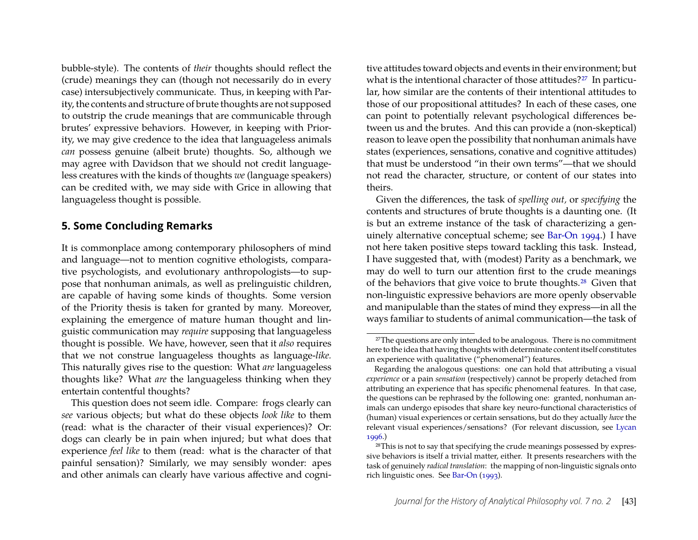bubble-style). The contents of *their* thoughts should reflect the (crude) meanings they can (though not necessarily do in every case) intersubjectively communicate. Thus, in keeping with Parity, the contents and structure of brute thoughts are not supposed to outstrip the crude meanings that are communicable through brutes' expressive behaviors. However, in keeping with Priority, we may give credence to the idea that languageless animals *can* possess genuine (albeit brute) thoughts. So, although we may agree with Davidson that we should not credit languageless creatures with the kinds of thoughts *we* (language speakers) can be credited with, we may side with Grice in allowing that languageless thought is possible.

### **5. Some Concluding Remarks**

It is commonplace among contemporary philosophers of mind and language—not to mention cognitive ethologists, comparative psychologists, and evolutionary anthropologists—to suppose that nonhuman animals, as well as prelinguistic children, are capable of having some kinds of thoughts. Some version of the Priority thesis is taken for granted by many. Moreover, explaining the emergence of mature human thought and linguistic communication may *require* supposing that languageless thought is possible. We have, however, seen that it *also* requires that we not construe languageless thoughts as language-*like.* This naturally gives rise to the question: What *are* languageless thoughts like? What *are* the languageless thinking when they entertain contentful thoughts?

This question does not seem idle. Compare: frogs clearly can *see* various objects; but what do these objects *look like* to them (read: what is the character of their visual experiences)? Or: dogs can clearly be in pain when injured; but what does that experience *feel like* to them (read: what is the character of that painful sensation)? Similarly, we may sensibly wonder: apes and other animals can clearly have various affective and cogni-

tive attitudes toward objects and events in their environment; but what is the intentional character of those attitudes?<sup>[27](#page-14-0)</sup> In particular, how similar are the contents of their intentional attitudes to those of our propositional attitudes? In each of these cases, one can point to potentially relevant psychological differences between us and the brutes. And this can provide a (non-skeptical) reason to leave open the possibility that nonhuman animals have states (experiences, sensations, conative and cognitive attitudes) that must be understood "in their own terms"—that we should not read the character, structure, or content of our states into theirs.

Given the differences, the task of *spelling out,* or *specifying* the contents and structures of brute thoughts is a daunting one. (It is but an extreme instance of the task of characterizing a genuinely alternative conceptual scheme; see [Bar-On 1994.](#page-15-15)) I have not here taken positive steps toward tackling this task. Instead, I have suggested that, with (modest) Parity as a benchmark, we may do well to turn our attention first to the crude meanings of the behaviors that give voice to brute thoughts.[28](#page-14-1) Given that non-linguistic expressive behaviors are more openly observable and manipulable than the states of mind they express—in all the ways familiar to students of animal communication—the task of

<span id="page-14-0"></span><sup>&</sup>lt;sup>27</sup>The questions are only intended to be analogous. There is no commitment here to the idea that having thoughts with determinate content itself constitutes an experience with qualitative ("phenomenal") features.

Regarding the analogous questions: one can hold that attributing a visual *experience* or a pain *sensation* (respectively) cannot be properly detached from attributing an experience that has specific phenomenal features. In that case, the questions can be rephrased by the following one: granted, nonhuman animals can undergo episodes that share key neuro-functional characteristics of (human) visual experiences or certain sensations, but do they actually *have* the relevant visual experiences/sensations? (For relevant discussion, see [Lycan](#page-17-16) [1996.](#page-17-16))

<span id="page-14-1"></span><sup>28</sup>This is not to say that specifying the crude meanings possessed by expressive behaviors is itself a trivial matter, either. It presents researchers with the task of genuinely *radical translation*: the mapping of non-linguistic signals onto rich linguistic ones. See [Bar-On](#page-15-16) [\(1993\)](#page-15-16).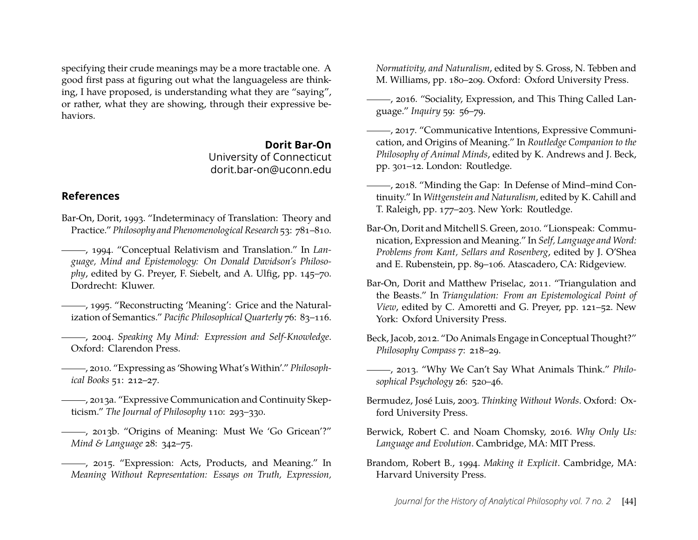specifying their crude meanings may be a more tractable one. A good first pass at figuring out what the languageless are thinking, I have proposed, is understanding what they are "saying", or rather, what they are showing, through their expressive behaviors.

#### **Dorit Bar-On**

University of Connecticut dorit.bar-on@uconn.edu

#### **References**

- <span id="page-15-16"></span>Bar-On, Dorit, 1993. "Indeterminacy of Translation: Theory and Practice." *Philosophy and Phenomenological Research* 53: 781–810.
- <span id="page-15-15"></span>, 1994. "Conceptual Relativism and Translation." In *Language, Mind and Epistemology: On Donald Davidson's Philosophy*, edited by G. Preyer, F. Siebelt, and A. Ulfig, pp. 145–70. Dordrecht: Kluwer.
- <span id="page-15-0"></span>, 1995. "Reconstructing 'Meaning': Grice and the Naturalization of Semantics." *Pacific Philosophical Quarterly* 76: 83–116.
- <span id="page-15-12"></span>, 2004. *Speaking My Mind: Expression and Self-Knowledge*. Oxford: Clarendon Press.
- <span id="page-15-14"></span>, 2010. "Expressing as 'Showing What's Within'." *Philosophical Books* 51: 212–27.
- <span id="page-15-2"></span>, 2013a. "Expressive Communication and Continuity Skepticism." *The Journal of Philosophy* 110: 293–330.
- <span id="page-15-5"></span>, 2013b. "Origins of Meaning: Must We 'Go Gricean'?" *Mind & Language* 28: 342–75.
- <span id="page-15-13"></span>, 2015. "Expression: Acts, Products, and Meaning." In *Meaning Without Representation: Essays on Truth, Expression,*

*Normativity, and Naturalism*, edited by S. Gross, N. Tebben and M. Williams, pp. 180–209. Oxford: Oxford University Press.

- <span id="page-15-1"></span>, 2016. "Sociality, Expression, and This Thing Called Language." *Inquiry* 59: 56–79.
- <span id="page-15-3"></span>, 2017. "Communicative Intentions, Expressive Communication, and Origins of Meaning." In *Routledge Companion to the Philosophy of Animal Minds*, edited by K. Andrews and J. Beck, pp. 301–12. London: Routledge.
- <span id="page-15-8"></span>, 2018. "Minding the Gap: In Defense of Mind–mind Continuity." In *Wittgenstein and Naturalism*, edited by K. Cahill and T. Raleigh, pp. 177–203. New York: Routledge.
- Bar-On, Dorit and Mitchell S. Green, 2010. "Lionspeak: Communication, Expression and Meaning." In *Self, Language and Word: Problems from Kant, Sellars and Rosenberg*, edited by J. O'Shea and E. Rubenstein, pp. 89–106. Atascadero, CA: Ridgeview.
- <span id="page-15-4"></span>Bar-On, Dorit and Matthew Priselac, 2011. "Triangulation and the Beasts." In *Triangulation: From an Epistemological Point of View*, edited by C. Amoretti and G. Preyer, pp. 121–52. New York: Oxford University Press.
- <span id="page-15-9"></span>Beck, Jacob, 2012. "Do Animals Engage in Conceptual Thought?" *Philosophy Compass* 7: 218–29.
- <span id="page-15-10"></span>, 2013. "Why We Can't Say What Animals Think." *Philosophical Psychology* 26: 520–46.
- <span id="page-15-11"></span>Bermudez, José Luis, 2003. *Thinking Without Words*. Oxford: Oxford University Press.
- <span id="page-15-6"></span>Berwick, Robert C. and Noam Chomsky, 2016. *Why Only Us: Language and Evolution*. Cambridge, MA: MIT Press.
- <span id="page-15-7"></span>Brandom, Robert B., 1994. *Making it Explicit*. Cambridge, MA: Harvard University Press.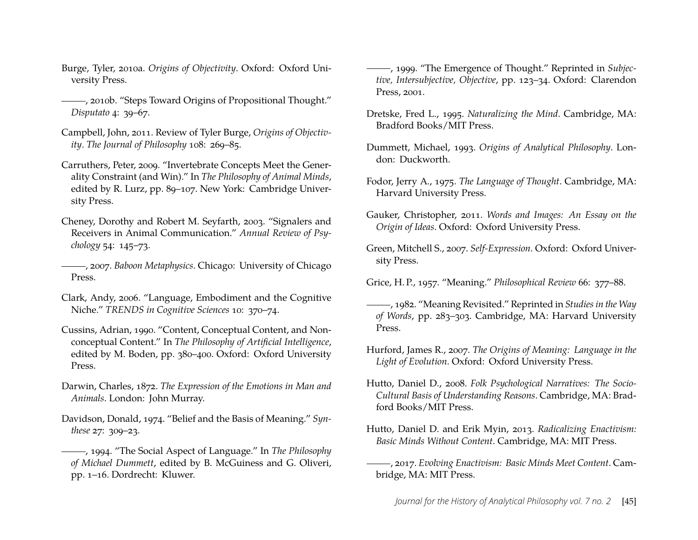- <span id="page-16-8"></span>Burge, Tyler, 2010a. *Origins of Objectivity*. Oxford: Oxford University Press.
- <span id="page-16-12"></span>, 2010b. "Steps Toward Origins of Propositional Thought." *Disputato* 4: 39–67.
- <span id="page-16-17"></span>Campbell, John, 2011. Review of Tyler Burge, *Origins of Objectivity*. *The Journal of Philosophy* 108: 269–85.
- <span id="page-16-13"></span>Carruthers, Peter, 2009. "Invertebrate Concepts Meet the Generality Constraint (and Win)." In *The Philosophy of Animal Minds*, edited by R. Lurz, pp. 89–107. New York: Cambridge University Press.
- <span id="page-16-22"></span>Cheney, Dorothy and Robert M. Seyfarth, 2003. "Signalers and Receivers in Animal Communication." *Annual Review of Psychology* 54: 145–73.
- <span id="page-16-10"></span>, 2007. *Baboon Metaphysics*. Chicago: University of Chicago Press.
- <span id="page-16-9"></span>Clark, Andy, 2006. "Language, Embodiment and the Cognitive Niche." *TRENDS in Cognitive Sciences* 10: 370–74.
- <span id="page-16-16"></span>Cussins, Adrian, 1990. "Content, Conceptual Content, and Nonconceptual Content." In *The Philosophy of Artificial Intelligence*, edited by M. Boden, pp. 380–400. Oxford: Oxford University Press.
- <span id="page-16-20"></span>Darwin, Charles, 1872. *The Expression of the Emotions in Man and Animals*. London: John Murray.
- <span id="page-16-5"></span>Davidson, Donald, 1974. "Belief and the Basis of Meaning." *Synthese* 27: 309–23.
- <span id="page-16-6"></span>, 1994. "The Social Aspect of Language." In *The Philosophy of Michael Dummett*, edited by B. McGuiness and G. Oliveri, pp. 1–16. Dordrecht: Kluwer.
- <span id="page-16-4"></span>, 1999. "The Emergence of Thought." Reprinted in *Subjective, Intersubjective, Objective*, pp. 123–34. Oxford: Clarendon Press, 2001.
- <span id="page-16-3"></span>Dretske, Fred L., 1995. *Naturalizing the Mind*. Cambridge, MA: Bradford Books/MIT Press.
- <span id="page-16-15"></span>Dummett, Michael, 1993. *Origins of Analytical Philosophy*. London: Duckworth.
- <span id="page-16-2"></span>Fodor, Jerry A., 1975. *The Language of Thought*. Cambridge, MA: Harvard University Press.
- <span id="page-16-18"></span>Gauker, Christopher, 2011. *Words and Images: An Essay on the Origin of Ideas*. Oxford: Oxford University Press.
- <span id="page-16-21"></span>Green, Mitchell S., 2007. *Self-Expression*. Oxford: Oxford University Press.
- <span id="page-16-0"></span>Grice, H. P., 1957. "Meaning." *Philosophical Review* 66: 377–88.
- <span id="page-16-1"></span>, 1982. "Meaning Revisited." Reprinted in *Studies in the Way of Words*, pp. 283–303. Cambridge, MA: Harvard University Press.
- <span id="page-16-11"></span>Hurford, James R., 2007. *The Origins of Meaning: Language in the Light of Evolution*. Oxford: Oxford University Press.
- <span id="page-16-19"></span>Hutto, Daniel D., 2008. *Folk Psychological Narratives: The Socio-Cultural Basis of Understanding Reasons*. Cambridge, MA: Bradford Books/MIT Press.
- <span id="page-16-14"></span>Hutto, Daniel D. and Erik Myin, 2013. *Radicalizing Enactivism: Basic Minds Without Content*. Cambridge, MA: MIT Press.
- <span id="page-16-7"></span>, 2017. *Evolving Enactivism: Basic Minds Meet Content*. Cambridge, MA: MIT Press.